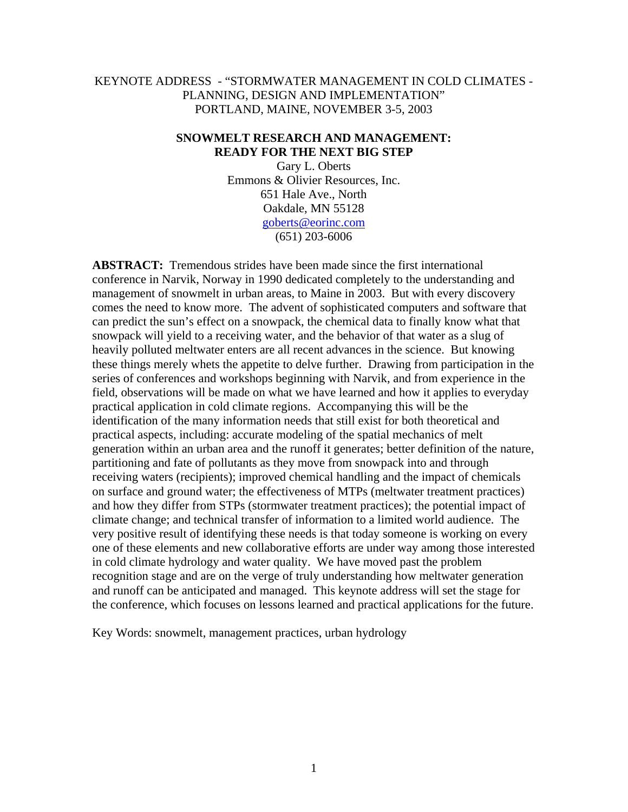## KEYNOTE ADDRESS - "STORMWATER MANAGEMENT IN COLD CLIMATES - PLANNING, DESIGN AND IMPLEMENTATION" PORTLAND, MAINE, NOVEMBER 3-5, 2003

#### **SNOWMELT RESEARCH AND MANAGEMENT: READY FOR THE NEXT BIG STEP**

Gary L. Oberts Emmons & Olivier Resources, Inc. 651 Hale Ave., North Oakdale, MN 55128 goberts@eorinc.com (651) 203-6006

**ABSTRACT:** Tremendous strides have been made since the first international conference in Narvik, Norway in 1990 dedicated completely to the understanding and management of snowmelt in urban areas, to Maine in 2003. But with every discovery comes the need to know more. The advent of sophisticated computers and software that can predict the sun's effect on a snowpack, the chemical data to finally know what that snowpack will yield to a receiving water, and the behavior of that water as a slug of heavily polluted meltwater enters are all recent advances in the science. But knowing these things merely whets the appetite to delve further. Drawing from participation in the series of conferences and workshops beginning with Narvik, and from experience in the field, observations will be made on what we have learned and how it applies to everyday practical application in cold climate regions. Accompanying this will be the identification of the many information needs that still exist for both theoretical and practical aspects, including: accurate modeling of the spatial mechanics of melt generation within an urban area and the runoff it generates; better definition of the nature, partitioning and fate of pollutants as they move from snowpack into and through receiving waters (recipients); improved chemical handling and the impact of chemicals on surface and ground water; the effectiveness of MTPs (meltwater treatment practices) and how they differ from STPs (stormwater treatment practices); the potential impact of climate change; and technical transfer of information to a limited world audience. The very positive result of identifying these needs is that today someone is working on every one of these elements and new collaborative efforts are under way among those interested in cold climate hydrology and water quality. We have moved past the problem recognition stage and are on the verge of truly understanding how meltwater generation and runoff can be anticipated and managed. This keynote address will set the stage for the conference, which focuses on lessons learned and practical applications for the future.

Key Words: snowmelt, management practices, urban hydrology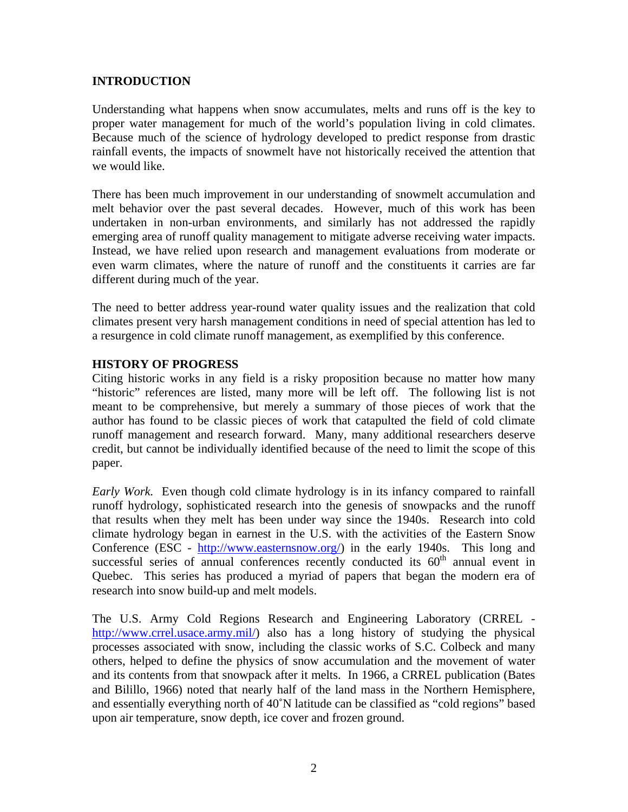## **INTRODUCTION**

Understanding what happens when snow accumulates, melts and runs off is the key to proper water management for much of the world's population living in cold climates. Because much of the science of hydrology developed to predict response from drastic rainfall events, the impacts of snowmelt have not historically received the attention that we would like.

There has been much improvement in our understanding of snowmelt accumulation and melt behavior over the past several decades. However, much of this work has been undertaken in non-urban environments, and similarly has not addressed the rapidly emerging area of runoff quality management to mitigate adverse receiving water impacts. Instead, we have relied upon research and management evaluations from moderate or even warm climates, where the nature of runoff and the constituents it carries are far different during much of the year.

The need to better address year-round water quality issues and the realization that cold climates present very harsh management conditions in need of special attention has led to a resurgence in cold climate runoff management, as exemplified by this conference.

#### **HISTORY OF PROGRESS**

Citing historic works in any field is a risky proposition because no matter how many "historic" references are listed, many more will be left off. The following list is not meant to be comprehensive, but merely a summary of those pieces of work that the author has found to be classic pieces of work that catapulted the field of cold climate runoff management and research forward. Many, many additional researchers deserve credit, but cannot be individually identified because of the need to limit the scope of this paper.

*Early Work.* Even though cold climate hydrology is in its infancy compared to rainfall runoff hydrology, sophisticated research into the genesis of snowpacks and the runoff that results when they melt has been under way since the 1940s. Research into cold climate hydrology began in earnest in the U.S. with the activities of the Eastern Snow Conference (ESC - http://www.easternsnow.org/) in the early 1940s. This long and successful series of annual conferences recently conducted its  $60<sup>th</sup>$  annual event in Quebec. This series has produced a myriad of papers that began the modern era of research into snow build-up and melt models.

The U.S. Army Cold Regions Research and Engineering Laboratory (CRREL http://www.crrel.usace.army.mil/) also has a long history of studying the physical processes associated with snow, including the classic works of S.C. Colbeck and many others, helped to define the physics of snow accumulation and the movement of water and its contents from that snowpack after it melts. In 1966, a CRREL publication (Bates and Bilillo, 1966) noted that nearly half of the land mass in the Northern Hemisphere, and essentially everything north of 40˚N latitude can be classified as "cold regions" based upon air temperature, snow depth, ice cover and frozen ground.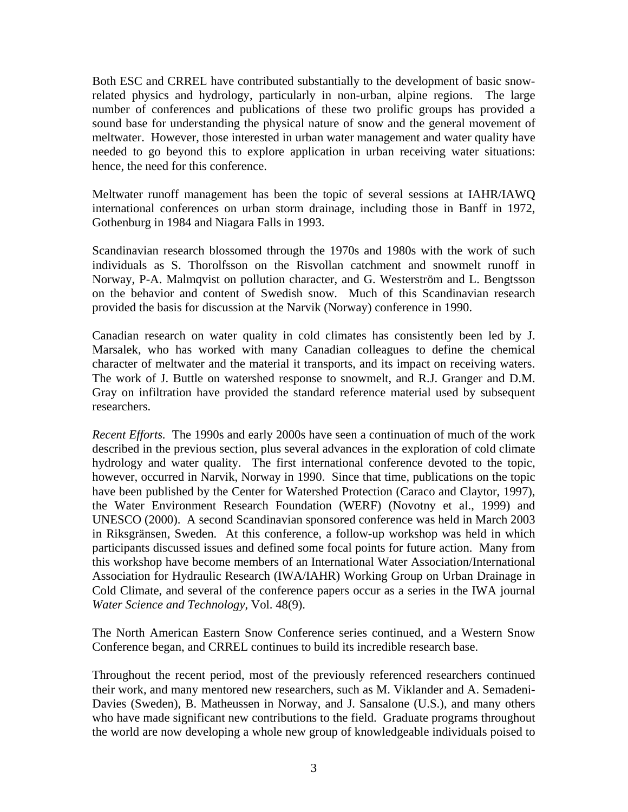Both ESC and CRREL have contributed substantially to the development of basic snowrelated physics and hydrology, particularly in non-urban, alpine regions. The large number of conferences and publications of these two prolific groups has provided a sound base for understanding the physical nature of snow and the general movement of meltwater. However, those interested in urban water management and water quality have needed to go beyond this to explore application in urban receiving water situations: hence, the need for this conference.

Meltwater runoff management has been the topic of several sessions at IAHR/IAWQ international conferences on urban storm drainage, including those in Banff in 1972, Gothenburg in 1984 and Niagara Falls in 1993.

Scandinavian research blossomed through the 1970s and 1980s with the work of such individuals as S. Thorolfsson on the Risvollan catchment and snowmelt runoff in Norway, P-A. Malmqvist on pollution character, and G. Westerström and L. Bengtsson on the behavior and content of Swedish snow. Much of this Scandinavian research provided the basis for discussion at the Narvik (Norway) conference in 1990.

Canadian research on water quality in cold climates has consistently been led by J. Marsalek, who has worked with many Canadian colleagues to define the chemical character of meltwater and the material it transports, and its impact on receiving waters. The work of J. Buttle on watershed response to snowmelt, and R.J. Granger and D.M. Gray on infiltration have provided the standard reference material used by subsequent researchers.

*Recent Efforts.* The 1990s and early 2000s have seen a continuation of much of the work described in the previous section, plus several advances in the exploration of cold climate hydrology and water quality. The first international conference devoted to the topic, however, occurred in Narvik, Norway in 1990. Since that time, publications on the topic have been published by the Center for Watershed Protection (Caraco and Claytor, 1997), the Water Environment Research Foundation (WERF) (Novotny et al., 1999) and UNESCO (2000). A second Scandinavian sponsored conference was held in March 2003 in Riksgränsen, Sweden. At this conference, a follow-up workshop was held in which participants discussed issues and defined some focal points for future action. Many from this workshop have become members of an International Water Association/International Association for Hydraulic Research (IWA/IAHR) Working Group on Urban Drainage in Cold Climate, and several of the conference papers occur as a series in the IWA journal *Water Science and Technology*, Vol. 48(9).

The North American Eastern Snow Conference series continued, and a Western Snow Conference began, and CRREL continues to build its incredible research base.

Throughout the recent period, most of the previously referenced researchers continued their work, and many mentored new researchers, such as M. Viklander and A. Semadeni-Davies (Sweden), B. Matheussen in Norway, and J. Sansalone (U.S.), and many others who have made significant new contributions to the field. Graduate programs throughout the world are now developing a whole new group of knowledgeable individuals poised to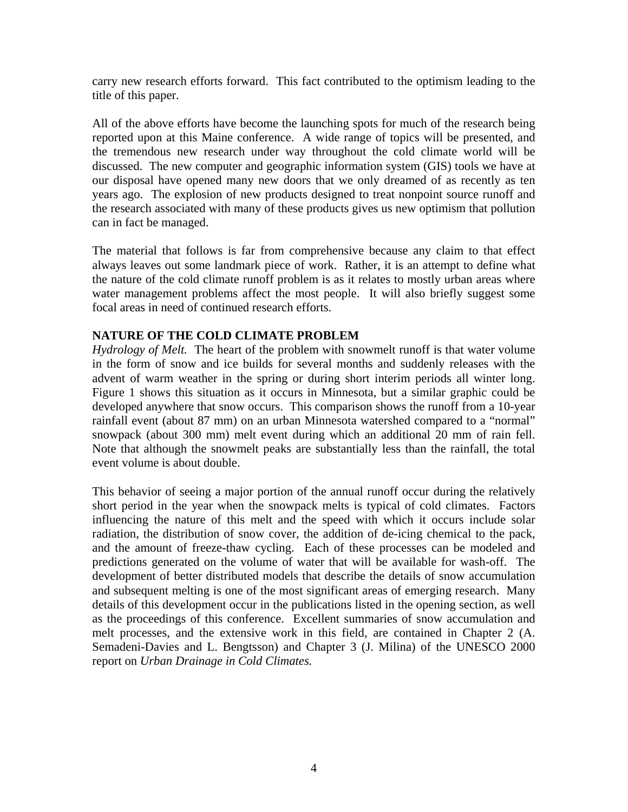carry new research efforts forward. This fact contributed to the optimism leading to the title of this paper.

All of the above efforts have become the launching spots for much of the research being reported upon at this Maine conference. A wide range of topics will be presented, and the tremendous new research under way throughout the cold climate world will be discussed. The new computer and geographic information system (GIS) tools we have at our disposal have opened many new doors that we only dreamed of as recently as ten years ago. The explosion of new products designed to treat nonpoint source runoff and the research associated with many of these products gives us new optimism that pollution can in fact be managed.

The material that follows is far from comprehensive because any claim to that effect always leaves out some landmark piece of work. Rather, it is an attempt to define what the nature of the cold climate runoff problem is as it relates to mostly urban areas where water management problems affect the most people. It will also briefly suggest some focal areas in need of continued research efforts.

## **NATURE OF THE COLD CLIMATE PROBLEM**

*Hydrology of Melt.* The heart of the problem with snowmelt runoff is that water volume in the form of snow and ice builds for several months and suddenly releases with the advent of warm weather in the spring or during short interim periods all winter long. Figure 1 shows this situation as it occurs in Minnesota, but a similar graphic could be developed anywhere that snow occurs. This comparison shows the runoff from a 10-year rainfall event (about 87 mm) on an urban Minnesota watershed compared to a "normal" snowpack (about 300 mm) melt event during which an additional 20 mm of rain fell. Note that although the snowmelt peaks are substantially less than the rainfall, the total event volume is about double.

This behavior of seeing a major portion of the annual runoff occur during the relatively short period in the year when the snowpack melts is typical of cold climates. Factors influencing the nature of this melt and the speed with which it occurs include solar radiation, the distribution of snow cover, the addition of de-icing chemical to the pack, and the amount of freeze-thaw cycling. Each of these processes can be modeled and predictions generated on the volume of water that will be available for wash-off. The development of better distributed models that describe the details of snow accumulation and subsequent melting is one of the most significant areas of emerging research. Many details of this development occur in the publications listed in the opening section, as well as the proceedings of this conference. Excellent summaries of snow accumulation and melt processes, and the extensive work in this field, are contained in Chapter 2 (A. Semadeni-Davies and L. Bengtsson) and Chapter 3 (J. Milina) of the UNESCO 2000 report on *Urban Drainage in Cold Climates.*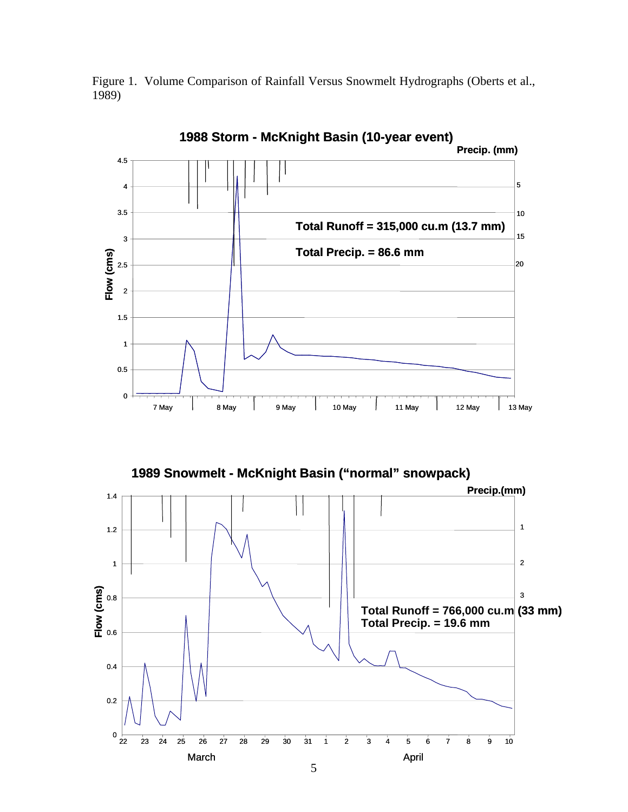



**1989 Snowmelt - McKnight Basin ("normal" snowpack)**

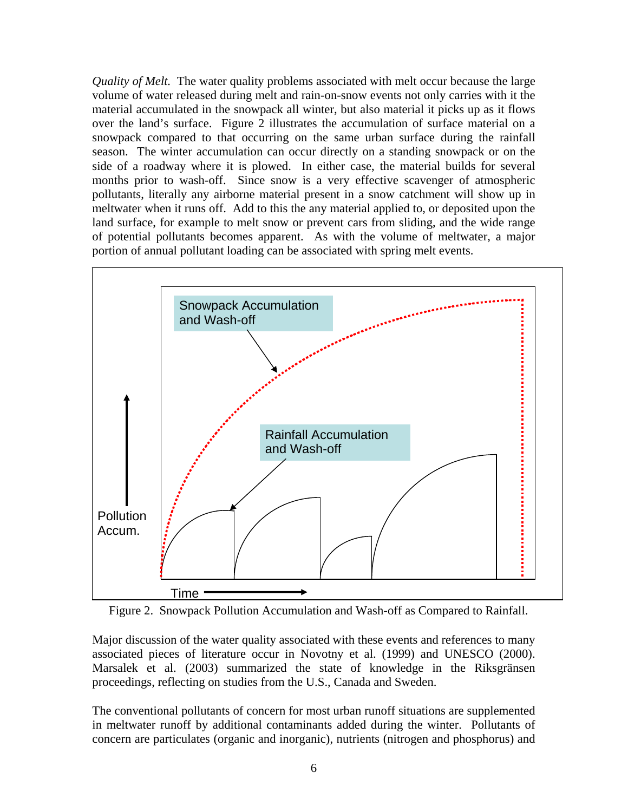*Quality of Melt.* The water quality problems associated with melt occur because the large volume of water released during melt and rain-on-snow events not only carries with it the material accumulated in the snowpack all winter, but also material it picks up as it flows over the land's surface. Figure 2 illustrates the accumulation of surface material on a snowpack compared to that occurring on the same urban surface during the rainfall season. The winter accumulation can occur directly on a standing snowpack or on the side of a roadway where it is plowed. In either case, the material builds for several months prior to wash-off. Since snow is a very effective scavenger of atmospheric pollutants, literally any airborne material present in a snow catchment will show up in meltwater when it runs off. Add to this the any material applied to, or deposited upon the land surface, for example to melt snow or prevent cars from sliding, and the wide range of potential pollutants becomes apparent. As with the volume of meltwater, a major portion of annual pollutant loading can be associated with spring melt events.



Figure 2. Snowpack Pollution Accumulation and Wash-off as Compared to Rainfall.

Major discussion of the water quality associated with these events and references to many associated pieces of literature occur in Novotny et al. (1999) and UNESCO (2000). Marsalek et al. (2003) summarized the state of knowledge in the Riksgränsen proceedings, reflecting on studies from the U.S., Canada and Sweden.

The conventional pollutants of concern for most urban runoff situations are supplemented in meltwater runoff by additional contaminants added during the winter. Pollutants of concern are particulates (organic and inorganic), nutrients (nitrogen and phosphorus) and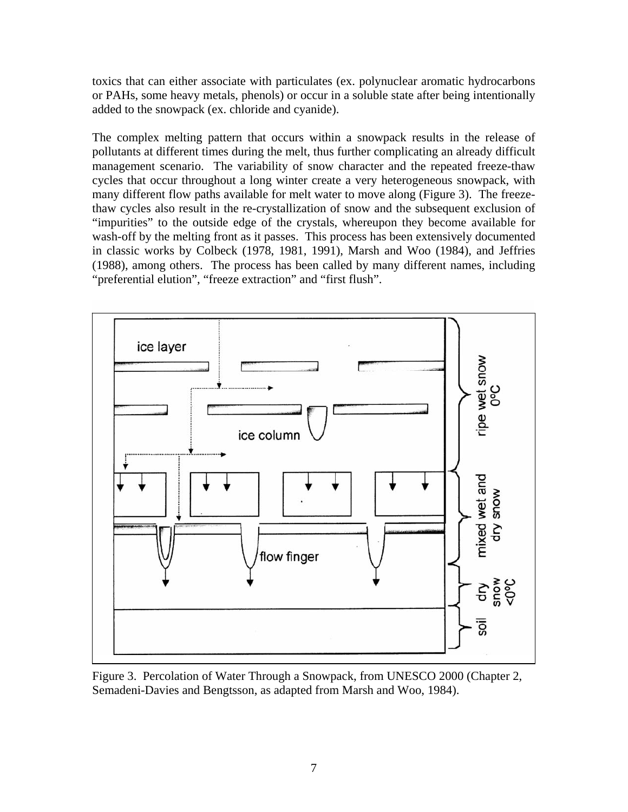toxics that can either associate with particulates (ex. polynuclear aromatic hydrocarbons or PAHs, some heavy metals, phenols) or occur in a soluble state after being intentionally added to the snowpack (ex. chloride and cyanide).

The complex melting pattern that occurs within a snowpack results in the release of pollutants at different times during the melt, thus further complicating an already difficult management scenario. The variability of snow character and the repeated freeze-thaw cycles that occur throughout a long winter create a very heterogeneous snowpack, with many different flow paths available for melt water to move along (Figure 3). The freezethaw cycles also result in the re-crystallization of snow and the subsequent exclusion of "impurities" to the outside edge of the crystals, whereupon they become available for wash-off by the melting front as it passes. This process has been extensively documented in classic works by Colbeck (1978, 1981, 1991), Marsh and Woo (1984), and Jeffries (1988), among others. The process has been called by many different names, including "preferential elution", "freeze extraction" and "first flush".



Figure 3. Percolation of Water Through a Snowpack, from UNESCO 2000 (Chapter 2, Semadeni-Davies and Bengtsson, as adapted from Marsh and Woo, 1984).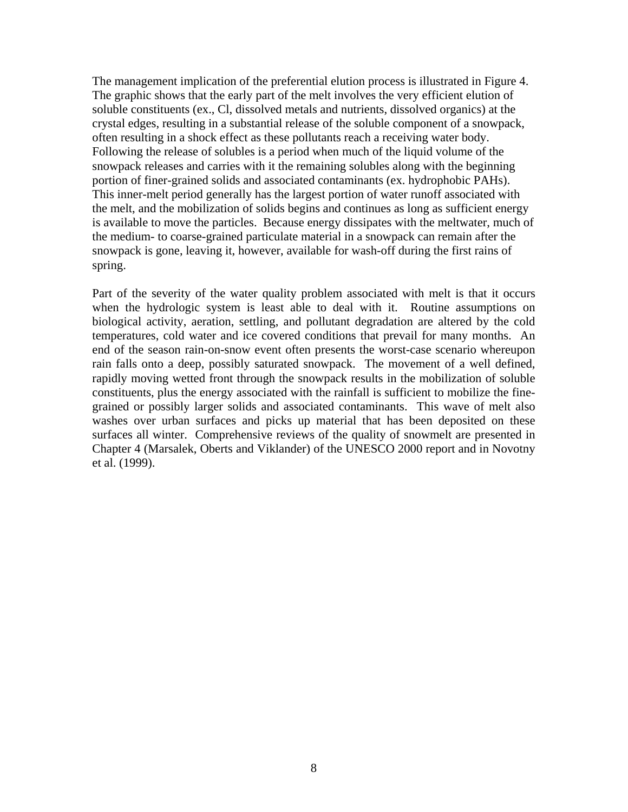The management implication of the preferential elution process is illustrated in Figure 4. The graphic shows that the early part of the melt involves the very efficient elution of soluble constituents (ex., Cl, dissolved metals and nutrients, dissolved organics) at the crystal edges, resulting in a substantial release of the soluble component of a snowpack, often resulting in a shock effect as these pollutants reach a receiving water body. Following the release of solubles is a period when much of the liquid volume of the snowpack releases and carries with it the remaining solubles along with the beginning portion of finer-grained solids and associated contaminants (ex. hydrophobic PAHs). This inner-melt period generally has the largest portion of water runoff associated with the melt, and the mobilization of solids begins and continues as long as sufficient energy is available to move the particles. Because energy dissipates with the meltwater, much of the medium- to coarse-grained particulate material in a snowpack can remain after the snowpack is gone, leaving it, however, available for wash-off during the first rains of spring.

Part of the severity of the water quality problem associated with melt is that it occurs when the hydrologic system is least able to deal with it. Routine assumptions on biological activity, aeration, settling, and pollutant degradation are altered by the cold temperatures, cold water and ice covered conditions that prevail for many months. An end of the season rain-on-snow event often presents the worst-case scenario whereupon rain falls onto a deep, possibly saturated snowpack. The movement of a well defined, rapidly moving wetted front through the snowpack results in the mobilization of soluble constituents, plus the energy associated with the rainfall is sufficient to mobilize the finegrained or possibly larger solids and associated contaminants. This wave of melt also washes over urban surfaces and picks up material that has been deposited on these surfaces all winter. Comprehensive reviews of the quality of snowmelt are presented in Chapter 4 (Marsalek, Oberts and Viklander) of the UNESCO 2000 report and in Novotny et al. (1999).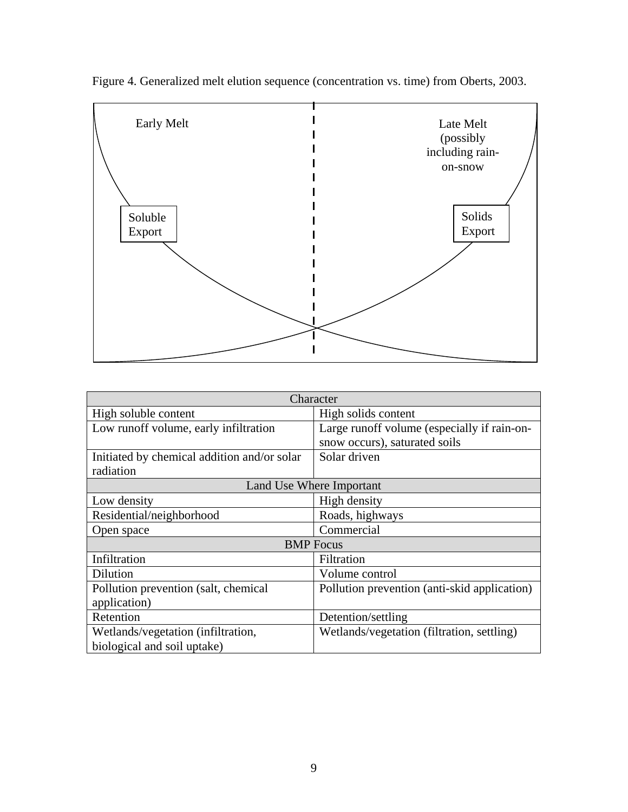

Figure 4. Generalized melt elution sequence (concentration vs. time) from Oberts, 2003.

| Character                                   |                                              |  |  |
|---------------------------------------------|----------------------------------------------|--|--|
| High soluble content                        | High solids content                          |  |  |
| Low runoff volume, early infiltration       | Large runoff volume (especially if rain-on-  |  |  |
|                                             | snow occurs), saturated soils                |  |  |
| Initiated by chemical addition and/or solar | Solar driven                                 |  |  |
| radiation                                   |                                              |  |  |
| Land Use Where Important                    |                                              |  |  |
| Low density                                 | High density                                 |  |  |
| Residential/neighborhood                    | Roads, highways                              |  |  |
| Open space                                  | Commercial                                   |  |  |
| <b>BMP</b> Focus                            |                                              |  |  |
| Infiltration                                | Filtration                                   |  |  |
| Dilution                                    | Volume control                               |  |  |
| Pollution prevention (salt, chemical        | Pollution prevention (anti-skid application) |  |  |
| application)                                |                                              |  |  |
| Retention                                   | Detention/settling                           |  |  |
| Wetlands/vegetation (infiltration,          | Wetlands/vegetation (filtration, settling)   |  |  |
| biological and soil uptake)                 |                                              |  |  |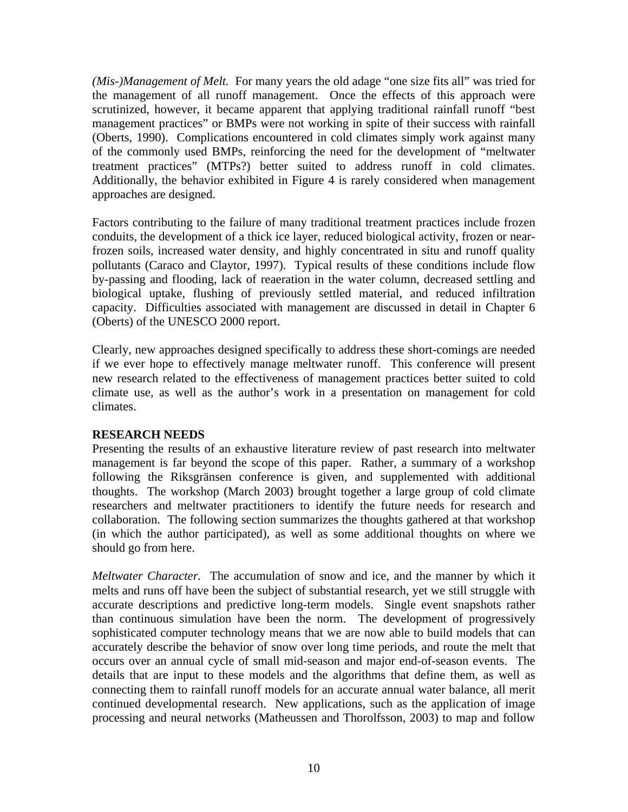*(Mis-)Management of Melt.* For many years the old adage "one size fits all" was tried for the management of all runoff management. Once the effects of this approach were scrutinized, however, it became apparent that applying traditional rainfall runoff "best management practices" or BMPs were not working in spite of their success with rainfall (Oberts, 1990). Complications encountered in cold climates simply work against many of the commonly used BMPs, reinforcing the need for the development of "meltwater treatment practices" (MTPs?) better suited to address runoff in cold climates. Additionally, the behavior exhibited in Figure 4 is rarely considered when management approaches are designed.

Factors contributing to the failure of many traditional treatment practices include frozen conduits, the development of a thick ice layer, reduced biological activity, frozen or nearfrozen soils, increased water density, and highly concentrated in situ and runoff quality pollutants (Caraco and Claytor, 1997). Typical results of these conditions include flow by-passing and flooding, lack of reaeration in the water column, decreased settling and biological uptake, flushing of previously settled material, and reduced infiltration capacity. Difficulties associated with management are discussed in detail in Chapter 6 (Oberts) of the UNESCO 2000 report.

Clearly, new approaches designed specifically to address these short-comings are needed if we ever hope to effectively manage meltwater runoff. This conference will present new research related to the effectiveness of management practices better suited to cold climate use, as well as the author's work in a presentation on management for cold climates.

# **RESEARCH NEEDS**

Presenting the results of an exhaustive literature review of past research into meltwater management is far beyond the scope of this paper. Rather, a summary of a workshop following the Riksgränsen conference is given, and supplemented with additional thoughts. The workshop (March 2003) brought together a large group of cold climate researchers and meltwater practitioners to identify the future needs for research and collaboration. The following section summarizes the thoughts gathered at that workshop (in which the author participated), as well as some additional thoughts on where we should go from here.

*Meltwater Character.* The accumulation of snow and ice, and the manner by which it melts and runs off have been the subject of substantial research, yet we still struggle with accurate descriptions and predictive long-term models. Single event snapshots rather than continuous simulation have been the norm. The development of progressively sophisticated computer technology means that we are now able to build models that can accurately describe the behavior of snow over long time periods, and route the melt that occurs over an annual cycle of small mid-season and major end-of-season events. The details that are input to these models and the algorithms that define them, as well as connecting them to rainfall runoff models for an accurate annual water balance, all merit continued developmental research. New applications, such as the application of image processing and neural networks (Matheussen and Thorolfsson, 2003) to map and follow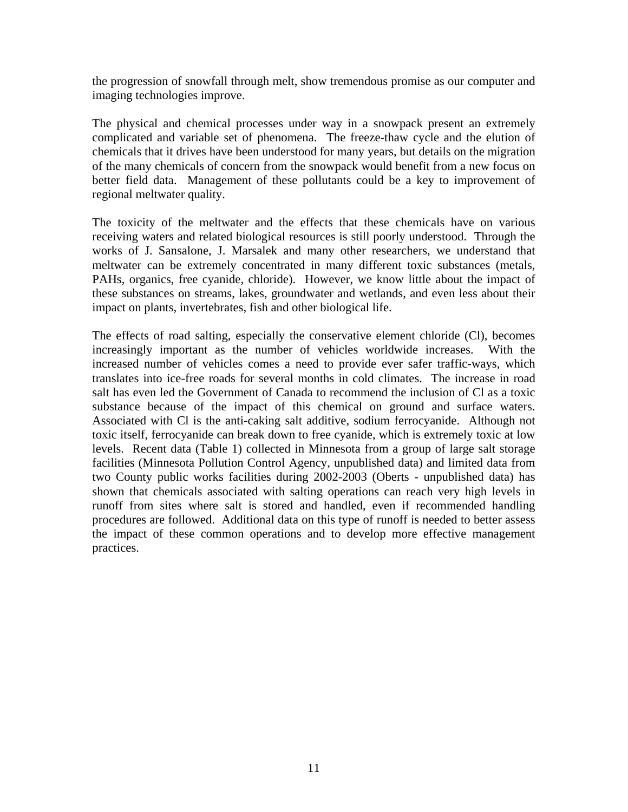the progression of snowfall through melt, show tremendous promise as our computer and imaging technologies improve.

The physical and chemical processes under way in a snowpack present an extremely complicated and variable set of phenomena. The freeze-thaw cycle and the elution of chemicals that it drives have been understood for many years, but details on the migration of the many chemicals of concern from the snowpack would benefit from a new focus on better field data. Management of these pollutants could be a key to improvement of regional meltwater quality.

The toxicity of the meltwater and the effects that these chemicals have on various receiving waters and related biological resources is still poorly understood. Through the works of J. Sansalone, J. Marsalek and many other researchers, we understand that meltwater can be extremely concentrated in many different toxic substances (metals, PAHs, organics, free cyanide, chloride). However, we know little about the impact of these substances on streams, lakes, groundwater and wetlands, and even less about their impact on plants, invertebrates, fish and other biological life.

The effects of road salting, especially the conservative element chloride (Cl), becomes increasingly important as the number of vehicles worldwide increases. With the increased number of vehicles comes a need to provide ever safer traffic-ways, which translates into ice-free roads for several months in cold climates. The increase in road salt has even led the Government of Canada to recommend the inclusion of Cl as a toxic substance because of the impact of this chemical on ground and surface waters. Associated with Cl is the anti-caking salt additive, sodium ferrocyanide. Although not toxic itself, ferrocyanide can break down to free cyanide, which is extremely toxic at low levels. Recent data (Table 1) collected in Minnesota from a group of large salt storage facilities (Minnesota Pollution Control Agency, unpublished data) and limited data from two County public works facilities during 2002-2003 (Oberts - unpublished data) has shown that chemicals associated with salting operations can reach very high levels in runoff from sites where salt is stored and handled, even if recommended handling procedures are followed. Additional data on this type of runoff is needed to better assess the impact of these common operations and to develop more effective management practices.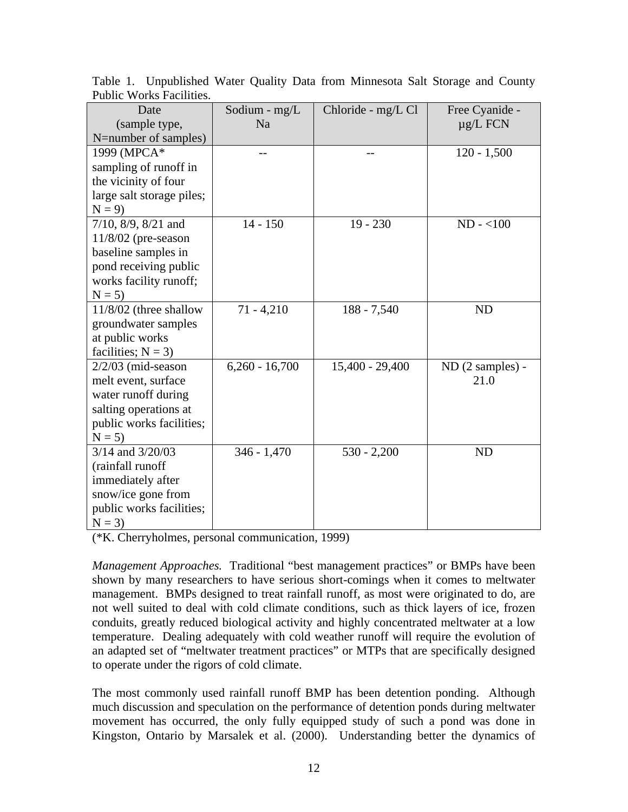| Date                        | Sodium - mg/L    | Chloride - mg/L Cl | Free Cyanide -   |
|-----------------------------|------------------|--------------------|------------------|
| (sample type,               | N <sub>a</sub>   |                    | $\mu$ g/L FCN    |
| N=number of samples)        |                  |                    |                  |
| 1999 (MPCA*                 |                  |                    | $120 - 1,500$    |
| sampling of runoff in       |                  |                    |                  |
| the vicinity of four        |                  |                    |                  |
| large salt storage piles;   |                  |                    |                  |
| $N = 9$                     |                  |                    |                  |
| $7/10$ , $8/9$ , $8/21$ and | $14 - 150$       | $19 - 230$         | $ND - <100$      |
| $11/8/02$ (pre-season       |                  |                    |                  |
| baseline samples in         |                  |                    |                  |
| pond receiving public       |                  |                    |                  |
| works facility runoff;      |                  |                    |                  |
| $N = 5$                     |                  |                    |                  |
| $11/8/02$ (three shallow    | $71 - 4,210$     | $188 - 7,540$      | <b>ND</b>        |
| groundwater samples         |                  |                    |                  |
| at public works             |                  |                    |                  |
| facilities; $N = 3$ )       |                  |                    |                  |
| $2/2/03$ (mid-season        | $6,260 - 16,700$ | 15,400 - 29,400    | ND (2 samples) - |
| melt event, surface         |                  |                    | 21.0             |
| water runoff during         |                  |                    |                  |
| salting operations at       |                  |                    |                  |
| public works facilities;    |                  |                    |                  |
| $N = 5$                     |                  |                    |                  |
| 3/14 and 3/20/03            | $346 - 1,470$    | $530 - 2,200$      | <b>ND</b>        |
| (rainfall runoff            |                  |                    |                  |
| immediately after           |                  |                    |                  |
| snow/ice gone from          |                  |                    |                  |
| public works facilities;    |                  |                    |                  |
| $N = 3$                     |                  |                    |                  |

Table 1. Unpublished Water Quality Data from Minnesota Salt Storage and County Public Works Facilities.

(\*K. Cherryholmes, personal communication, 1999)

*Management Approaches.* Traditional "best management practices" or BMPs have been shown by many researchers to have serious short-comings when it comes to meltwater management. BMPs designed to treat rainfall runoff, as most were originated to do, are not well suited to deal with cold climate conditions, such as thick layers of ice, frozen conduits, greatly reduced biological activity and highly concentrated meltwater at a low temperature. Dealing adequately with cold weather runoff will require the evolution of an adapted set of "meltwater treatment practices" or MTPs that are specifically designed to operate under the rigors of cold climate.

The most commonly used rainfall runoff BMP has been detention ponding. Although much discussion and speculation on the performance of detention ponds during meltwater movement has occurred, the only fully equipped study of such a pond was done in Kingston, Ontario by Marsalek et al. (2000). Understanding better the dynamics of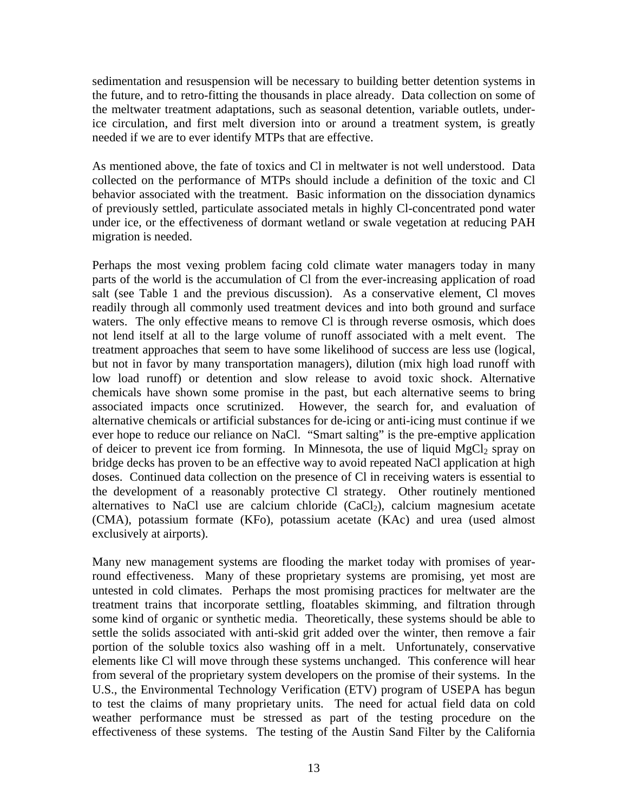sedimentation and resuspension will be necessary to building better detention systems in the future, and to retro-fitting the thousands in place already. Data collection on some of the meltwater treatment adaptations, such as seasonal detention, variable outlets, underice circulation, and first melt diversion into or around a treatment system, is greatly needed if we are to ever identify MTPs that are effective.

As mentioned above, the fate of toxics and Cl in meltwater is not well understood. Data collected on the performance of MTPs should include a definition of the toxic and Cl behavior associated with the treatment. Basic information on the dissociation dynamics of previously settled, particulate associated metals in highly Cl-concentrated pond water under ice, or the effectiveness of dormant wetland or swale vegetation at reducing PAH migration is needed.

Perhaps the most vexing problem facing cold climate water managers today in many parts of the world is the accumulation of Cl from the ever-increasing application of road salt (see Table 1 and the previous discussion). As a conservative element, Cl moves readily through all commonly used treatment devices and into both ground and surface waters. The only effective means to remove Cl is through reverse osmosis, which does not lend itself at all to the large volume of runoff associated with a melt event. The treatment approaches that seem to have some likelihood of success are less use (logical, but not in favor by many transportation managers), dilution (mix high load runoff with low load runoff) or detention and slow release to avoid toxic shock. Alternative chemicals have shown some promise in the past, but each alternative seems to bring associated impacts once scrutinized. However, the search for, and evaluation of alternative chemicals or artificial substances for de-icing or anti-icing must continue if we ever hope to reduce our reliance on NaCl. "Smart salting" is the pre-emptive application of deicer to prevent ice from forming. In Minnesota, the use of liquid  $MgCl<sub>2</sub>$  spray on bridge decks has proven to be an effective way to avoid repeated NaCl application at high doses. Continued data collection on the presence of Cl in receiving waters is essential to the development of a reasonably protective Cl strategy. Other routinely mentioned alternatives to NaCl use are calcium chloride  $(CaCl<sub>2</sub>)$ , calcium magnesium acetate (CMA), potassium formate (KFo), potassium acetate (KAc) and urea (used almost exclusively at airports).

Many new management systems are flooding the market today with promises of yearround effectiveness. Many of these proprietary systems are promising, yet most are untested in cold climates. Perhaps the most promising practices for meltwater are the treatment trains that incorporate settling, floatables skimming, and filtration through some kind of organic or synthetic media. Theoretically, these systems should be able to settle the solids associated with anti-skid grit added over the winter, then remove a fair portion of the soluble toxics also washing off in a melt. Unfortunately, conservative elements like Cl will move through these systems unchanged. This conference will hear from several of the proprietary system developers on the promise of their systems. In the U.S., the Environmental Technology Verification (ETV) program of USEPA has begun to test the claims of many proprietary units. The need for actual field data on cold weather performance must be stressed as part of the testing procedure on the effectiveness of these systems. The testing of the Austin Sand Filter by the California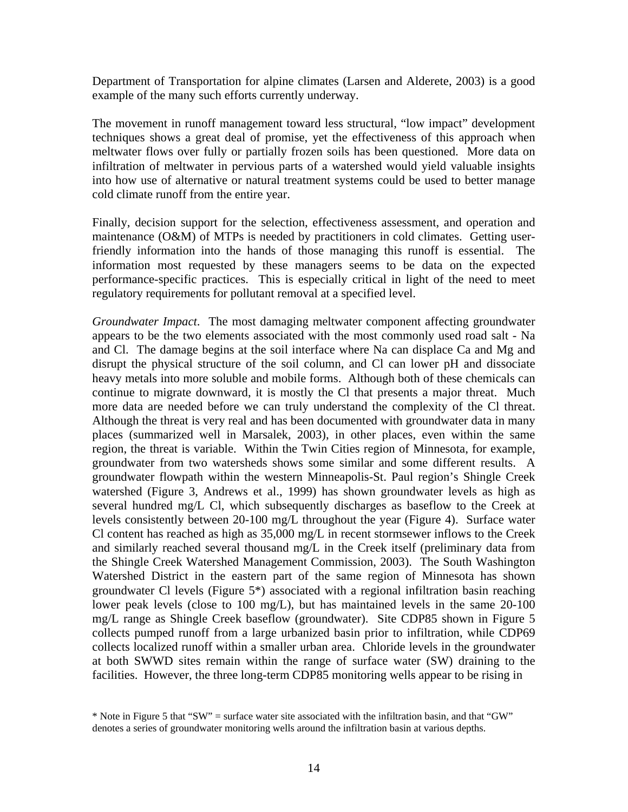Department of Transportation for alpine climates (Larsen and Alderete, 2003) is a good example of the many such efforts currently underway.

The movement in runoff management toward less structural, "low impact" development techniques shows a great deal of promise, yet the effectiveness of this approach when meltwater flows over fully or partially frozen soils has been questioned. More data on infiltration of meltwater in pervious parts of a watershed would yield valuable insights into how use of alternative or natural treatment systems could be used to better manage cold climate runoff from the entire year.

Finally, decision support for the selection, effectiveness assessment, and operation and maintenance (O&M) of MTPs is needed by practitioners in cold climates. Getting userfriendly information into the hands of those managing this runoff is essential. The information most requested by these managers seems to be data on the expected performance-specific practices. This is especially critical in light of the need to meet regulatory requirements for pollutant removal at a specified level.

*Groundwater Impact*. The most damaging meltwater component affecting groundwater appears to be the two elements associated with the most commonly used road salt - Na and Cl. The damage begins at the soil interface where Na can displace Ca and Mg and disrupt the physical structure of the soil column, and Cl can lower pH and dissociate heavy metals into more soluble and mobile forms. Although both of these chemicals can continue to migrate downward, it is mostly the Cl that presents a major threat. Much more data are needed before we can truly understand the complexity of the Cl threat. Although the threat is very real and has been documented with groundwater data in many places (summarized well in Marsalek, 2003), in other places, even within the same region, the threat is variable. Within the Twin Cities region of Minnesota, for example, groundwater from two watersheds shows some similar and some different results. A groundwater flowpath within the western Minneapolis-St. Paul region's Shingle Creek watershed (Figure 3, Andrews et al., 1999) has shown groundwater levels as high as several hundred mg/L Cl, which subsequently discharges as baseflow to the Creek at levels consistently between 20-100 mg/L throughout the year (Figure 4). Surface water Cl content has reached as high as 35,000 mg/L in recent stormsewer inflows to the Creek and similarly reached several thousand mg/L in the Creek itself (preliminary data from the Shingle Creek Watershed Management Commission, 2003). The South Washington Watershed District in the eastern part of the same region of Minnesota has shown groundwater Cl levels (Figure 5\*) associated with a regional infiltration basin reaching lower peak levels (close to 100 mg/L), but has maintained levels in the same 20-100 mg/L range as Shingle Creek baseflow (groundwater). Site CDP85 shown in Figure 5 collects pumped runoff from a large urbanized basin prior to infiltration, while CDP69 collects localized runoff within a smaller urban area. Chloride levels in the groundwater at both SWWD sites remain within the range of surface water (SW) draining to the facilities. However, the three long-term CDP85 monitoring wells appear to be rising in

<sup>\*</sup> Note in Figure 5 that "SW" = surface water site associated with the infiltration basin, and that "GW" denotes a series of groundwater monitoring wells around the infiltration basin at various depths.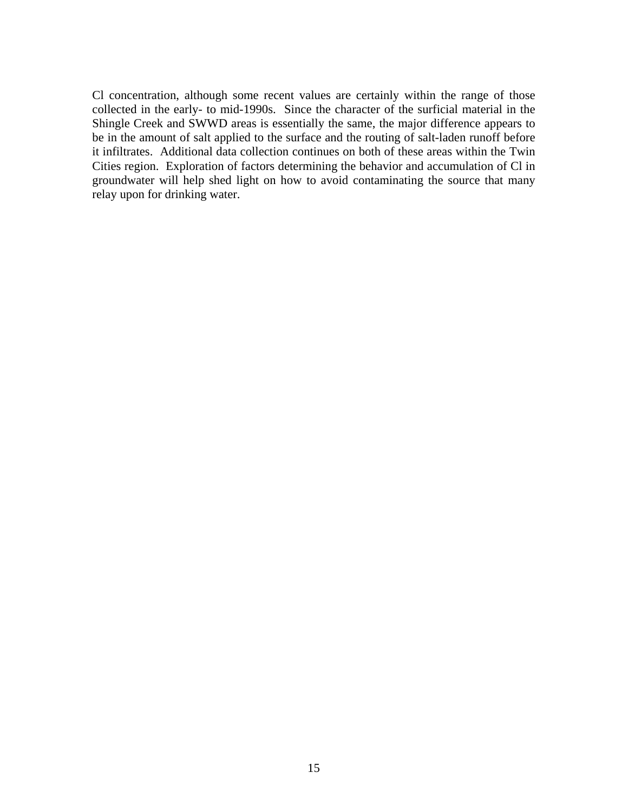Cl concentration, although some recent values are certainly within the range of those collected in the early- to mid-1990s. Since the character of the surficial material in the Shingle Creek and SWWD areas is essentially the same, the major difference appears to be in the amount of salt applied to the surface and the routing of salt-laden runoff before it infiltrates. Additional data collection continues on both of these areas within the Twin Cities region. Exploration of factors determining the behavior and accumulation of Cl in groundwater will help shed light on how to avoid contaminating the source that many relay upon for drinking water.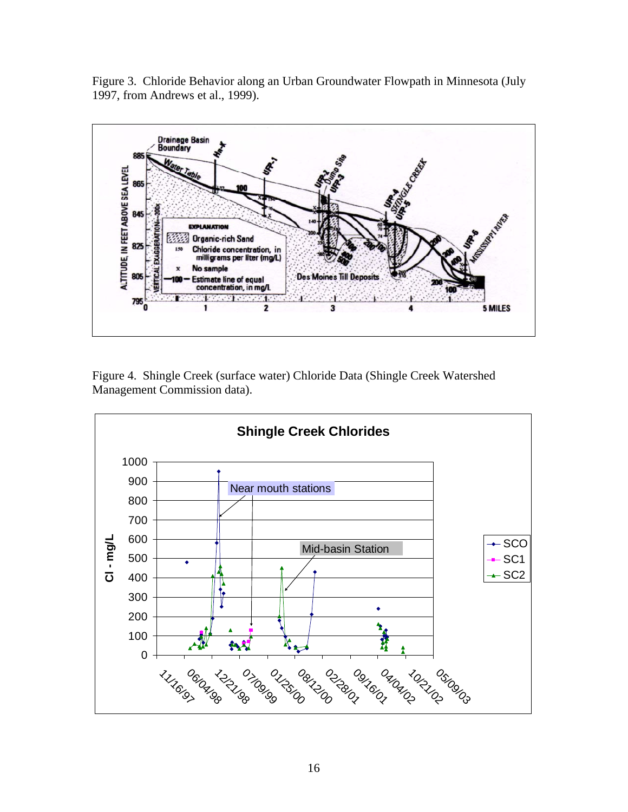

Figure 3. Chloride Behavior along an Urban Groundwater Flowpath in Minnesota (July 1997, from Andrews et al., 1999).

Figure 4. Shingle Creek (surface water) Chloride Data (Shingle Creek Watershed Management Commission data).

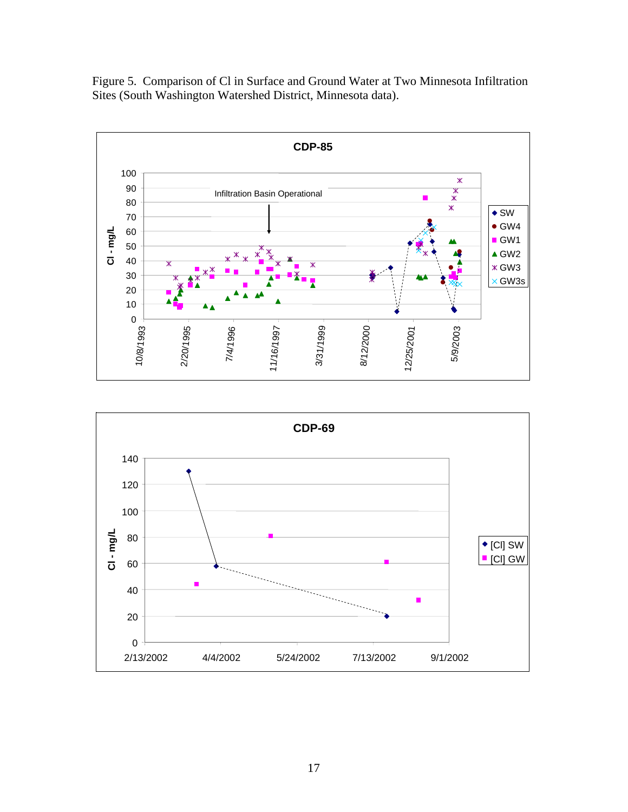Figure 5. Comparison of Cl in Surface and Ground Water at Two Minnesota Infiltration Sites (South Washington Watershed District, Minnesota data).



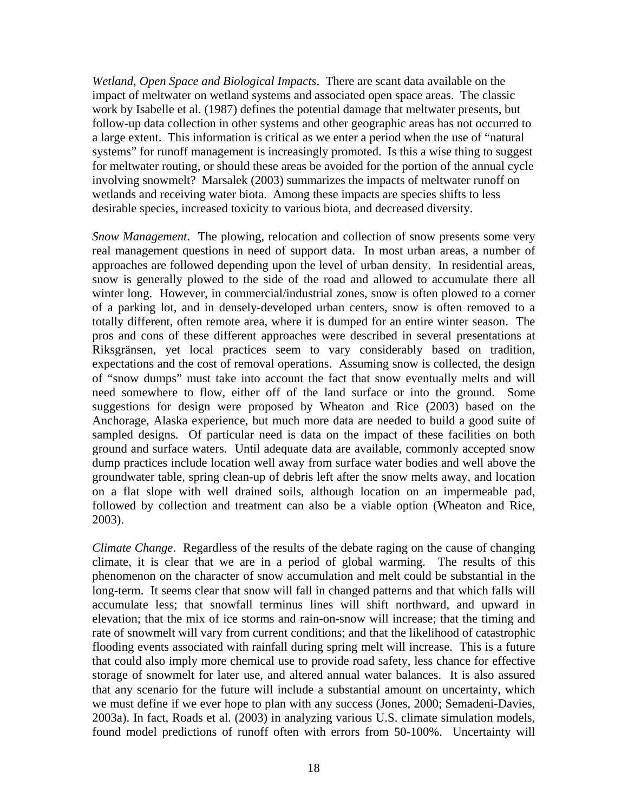*Wetland, Open Space and Biological Impacts*. There are scant data available on the impact of meltwater on wetland systems and associated open space areas. The classic work by Isabelle et al. (1987) defines the potential damage that meltwater presents, but follow-up data collection in other systems and other geographic areas has not occurred to a large extent. This information is critical as we enter a period when the use of "natural systems" for runoff management is increasingly promoted. Is this a wise thing to suggest for meltwater routing, or should these areas be avoided for the portion of the annual cycle involving snowmelt? Marsalek (2003) summarizes the impacts of meltwater runoff on wetlands and receiving water biota. Among these impacts are species shifts to less desirable species, increased toxicity to various biota, and decreased diversity.

*Snow Management*. The plowing, relocation and collection of snow presents some very real management questions in need of support data. In most urban areas, a number of approaches are followed depending upon the level of urban density. In residential areas, snow is generally plowed to the side of the road and allowed to accumulate there all winter long. However, in commercial/industrial zones, snow is often plowed to a corner of a parking lot, and in densely-developed urban centers, snow is often removed to a totally different, often remote area, where it is dumped for an entire winter season. The pros and cons of these different approaches were described in several presentations at Riksgränsen, yet local practices seem to vary considerably based on tradition, expectations and the cost of removal operations. Assuming snow is collected, the design of "snow dumps" must take into account the fact that snow eventually melts and will need somewhere to flow, either off of the land surface or into the ground. Some suggestions for design were proposed by Wheaton and Rice (2003) based on the Anchorage, Alaska experience, but much more data are needed to build a good suite of sampled designs. Of particular need is data on the impact of these facilities on both ground and surface waters. Until adequate data are available, commonly accepted snow dump practices include location well away from surface water bodies and well above the groundwater table, spring clean-up of debris left after the snow melts away, and location on a flat slope with well drained soils, although location on an impermeable pad, followed by collection and treatment can also be a viable option (Wheaton and Rice, 2003).

*Climate Change*. Regardless of the results of the debate raging on the cause of changing climate, it is clear that we are in a period of global warming. The results of this phenomenon on the character of snow accumulation and melt could be substantial in the long-term. It seems clear that snow will fall in changed patterns and that which falls will accumulate less; that snowfall terminus lines will shift northward, and upward in elevation; that the mix of ice storms and rain-on-snow will increase; that the timing and rate of snowmelt will vary from current conditions; and that the likelihood of catastrophic flooding events associated with rainfall during spring melt will increase. This is a future that could also imply more chemical use to provide road safety, less chance for effective storage of snowmelt for later use, and altered annual water balances. It is also assured that any scenario for the future will include a substantial amount on uncertainty, which we must define if we ever hope to plan with any success (Jones, 2000; Semadeni-Davies, 2003a). In fact, Roads et al. (2003) in analyzing various U.S. climate simulation models, found model predictions of runoff often with errors from 50-100%. Uncertainty will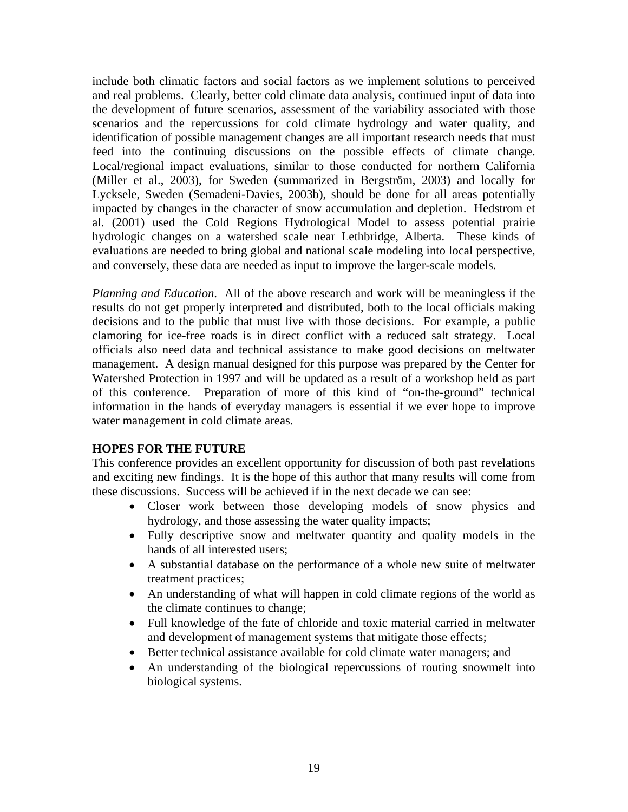include both climatic factors and social factors as we implement solutions to perceived and real problems. Clearly, better cold climate data analysis, continued input of data into the development of future scenarios, assessment of the variability associated with those scenarios and the repercussions for cold climate hydrology and water quality, and identification of possible management changes are all important research needs that must feed into the continuing discussions on the possible effects of climate change. Local/regional impact evaluations, similar to those conducted for northern California (Miller et al., 2003), for Sweden (summarized in Bergström, 2003) and locally for Lycksele, Sweden (Semadeni-Davies, 2003b), should be done for all areas potentially impacted by changes in the character of snow accumulation and depletion. Hedstrom et al. (2001) used the Cold Regions Hydrological Model to assess potential prairie hydrologic changes on a watershed scale near Lethbridge, Alberta. These kinds of evaluations are needed to bring global and national scale modeling into local perspective, and conversely, these data are needed as input to improve the larger-scale models.

*Planning and Education*. All of the above research and work will be meaningless if the results do not get properly interpreted and distributed, both to the local officials making decisions and to the public that must live with those decisions. For example, a public clamoring for ice-free roads is in direct conflict with a reduced salt strategy. Local officials also need data and technical assistance to make good decisions on meltwater management. A design manual designed for this purpose was prepared by the Center for Watershed Protection in 1997 and will be updated as a result of a workshop held as part of this conference. Preparation of more of this kind of "on-the-ground" technical information in the hands of everyday managers is essential if we ever hope to improve water management in cold climate areas.

# **HOPES FOR THE FUTURE**

This conference provides an excellent opportunity for discussion of both past revelations and exciting new findings. It is the hope of this author that many results will come from these discussions. Success will be achieved if in the next decade we can see:

- Closer work between those developing models of snow physics and hydrology, and those assessing the water quality impacts;
- Fully descriptive snow and meltwater quantity and quality models in the hands of all interested users;
- A substantial database on the performance of a whole new suite of meltwater treatment practices;
- An understanding of what will happen in cold climate regions of the world as the climate continues to change;
- Full knowledge of the fate of chloride and toxic material carried in meltwater and development of management systems that mitigate those effects;
- Better technical assistance available for cold climate water managers; and
- An understanding of the biological repercussions of routing snowmelt into biological systems.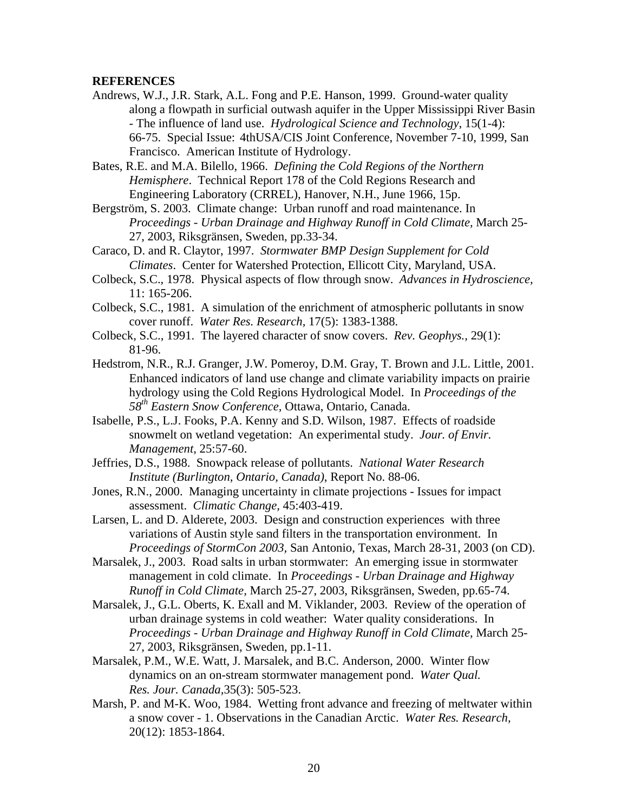#### **REFERENCES**

Andrews, W.J., J.R. Stark, A.L. Fong and P.E. Hanson, 1999. Ground-water quality along a flowpath in surficial outwash aquifer in the Upper Mississippi River Basin - The influence of land use. *Hydrological Science and Technology*, 15(1-4): 66-75. Special Issue: 4thUSA/CIS Joint Conference, November 7-10, 1999, San Francisco. American Institute of Hydrology.

Bates, R.E. and M.A. Bilello, 1966. *Defining the Cold Regions of the Northern Hemisphere*. Technical Report 178 of the Cold Regions Research and Engineering Laboratory (CRREL), Hanover, N.H., June 1966, 15p.

Bergström, S. 2003. Climate change: Urban runoff and road maintenance. In *Proceedings - Urban Drainage and Highway Runoff in Cold Climate,* March 25- 27, 2003, Riksgränsen, Sweden, pp.33-34.

Caraco, D. and R. Claytor, 1997. *Stormwater BMP Design Supplement for Cold Climates*. Center for Watershed Protection, Ellicott City, Maryland, USA.

- Colbeck, S.C., 1978. Physical aspects of flow through snow. *Advances in Hydroscience,* 11: 165-206.
- Colbeck, S.C., 1981. A simulation of the enrichment of atmospheric pollutants in snow cover runoff. *Water Res. Research,* 17(5): 1383-1388.
- Colbeck, S.C., 1991. The layered character of snow covers. *Rev. Geophys.,* 29(1): 81-96.
- Hedstrom, N.R., R.J. Granger, J.W. Pomeroy, D.M. Gray, T. Brown and J.L. Little, 2001. Enhanced indicators of land use change and climate variability impacts on prairie hydrology using the Cold Regions Hydrological Model. In *Proceedings of the 58th Eastern Snow Conference,* Ottawa, Ontario, Canada.
- Isabelle, P.S., L.J. Fooks, P.A. Kenny and S.D. Wilson, 1987. Effects of roadside snowmelt on wetland vegetation: An experimental study. *Jour. of Envir. Management*, 25:57-60.
- Jeffries, D.S., 1988. Snowpack release of pollutants. *National Water Research Institute (Burlington, Ontario, Canada)*, Report No. 88-06.
- Jones, R.N., 2000. Managing uncertainty in climate projections Issues for impact assessment. *Climatic Change,* 45:403-419.

Larsen, L. and D. Alderete, 2003. Design and construction experiences with three variations of Austin style sand filters in the transportation environment. In *Proceedings of StormCon 2003,* San Antonio, Texas, March 28-31, 2003 (on CD).

- Marsalek, J., 2003. Road salts in urban stormwater: An emerging issue in stormwater management in cold climate. In *Proceedings - Urban Drainage and Highway Runoff in Cold Climate,* March 25-27, 2003, Riksgränsen, Sweden, pp.65-74.
- Marsalek, J., G.L. Oberts, K. Exall and M. Viklander, 2003. Review of the operation of urban drainage systems in cold weather: Water quality considerations. In *Proceedings - Urban Drainage and Highway Runoff in Cold Climate,* March 25- 27, 2003, Riksgränsen, Sweden, pp.1-11.
- Marsalek, P.M., W.E. Watt, J. Marsalek, and B.C. Anderson, 2000. Winter flow dynamics on an on-stream stormwater management pond. *Water Qual. Res. Jour. Canada,*35(3): 505-523.
- Marsh, P. and M-K. Woo, 1984. Wetting front advance and freezing of meltwater within a snow cover - 1. Observations in the Canadian Arctic. *Water Res. Research,* 20(12): 1853-1864.